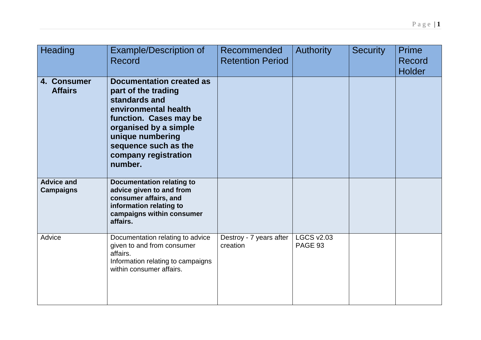| Heading                               | <b>Example/Description of</b><br>Record                                                                                                                                                                                           | Recommended<br><b>Retention Period</b> | <b>Authority</b>             | <b>Security</b> | <b>Prime</b><br>Record<br><b>Holder</b> |
|---------------------------------------|-----------------------------------------------------------------------------------------------------------------------------------------------------------------------------------------------------------------------------------|----------------------------------------|------------------------------|-----------------|-----------------------------------------|
| 4. Consumer<br><b>Affairs</b>         | <b>Documentation created as</b><br>part of the trading<br>standards and<br>environmental health<br>function. Cases may be<br>organised by a simple<br>unique numbering<br>sequence such as the<br>company registration<br>number. |                                        |                              |                 |                                         |
| <b>Advice and</b><br><b>Campaigns</b> | <b>Documentation relating to</b><br>advice given to and from<br>consumer affairs, and<br>information relating to<br>campaigns within consumer<br>affairs.                                                                         |                                        |                              |                 |                                         |
| Advice                                | Documentation relating to advice<br>given to and from consumer<br>affairs.<br>Information relating to campaigns<br>within consumer affairs.                                                                                       | Destroy - 7 years after<br>creation    | <b>LGCS v2.03</b><br>PAGE 93 |                 |                                         |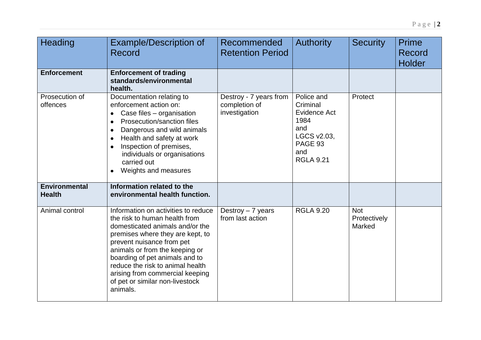| Heading                               | <b>Example/Description of</b><br>Record                                                                                                                                                                                                                                                                                                                            | Recommended<br><b>Retention Period</b>                   | <b>Authority</b>                                                                                           | <b>Security</b>                      | <b>Prime</b><br>Record<br><b>Holder</b> |
|---------------------------------------|--------------------------------------------------------------------------------------------------------------------------------------------------------------------------------------------------------------------------------------------------------------------------------------------------------------------------------------------------------------------|----------------------------------------------------------|------------------------------------------------------------------------------------------------------------|--------------------------------------|-----------------------------------------|
| <b>Enforcement</b>                    | <b>Enforcement of trading</b><br>standards/environmental<br>health.                                                                                                                                                                                                                                                                                                |                                                          |                                                                                                            |                                      |                                         |
| Prosecution of<br>offences            | Documentation relating to<br>enforcement action on:<br>Case files - organisation<br>Prosecution/sanction files<br>$\bullet$<br>Dangerous and wild animals<br>Health and safety at work<br>Inspection of premises,<br>individuals or organisations<br>carried out<br>Weights and measures                                                                           | Destroy - 7 years from<br>completion of<br>investigation | Police and<br>Criminal<br>Evidence Act<br>1984<br>and<br>LGCS v2.03,<br>PAGE 93<br>and<br><b>RGLA 9.21</b> | Protect                              |                                         |
| <b>Environmental</b><br><b>Health</b> | Information related to the<br>environmental health function.                                                                                                                                                                                                                                                                                                       |                                                          |                                                                                                            |                                      |                                         |
| Animal control                        | Information on activities to reduce<br>the risk to human health from<br>domesticated animals and/or the<br>premises where they are kept, to<br>prevent nuisance from pet<br>animals or from the keeping or<br>boarding of pet animals and to<br>reduce the risk to animal health<br>arising from commercial keeping<br>of pet or similar non-livestock<br>animals. | Destroy $-7$ years<br>from last action                   | <b>RGLA 9.20</b>                                                                                           | <b>Not</b><br>Protectively<br>Marked |                                         |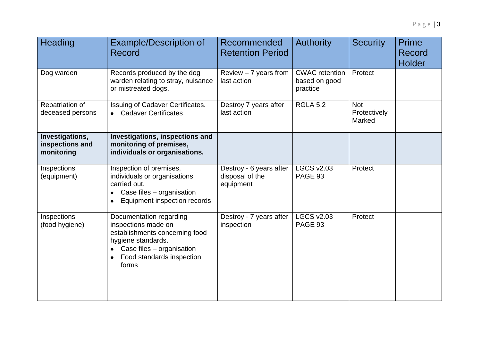| Heading                                          | <b>Example/Description of</b><br>Record                                                                                                                                   | Recommended<br><b>Retention Period</b>                  | <b>Authority</b>                                   | <b>Security</b>                      | <b>Prime</b><br>Record<br><b>Holder</b> |
|--------------------------------------------------|---------------------------------------------------------------------------------------------------------------------------------------------------------------------------|---------------------------------------------------------|----------------------------------------------------|--------------------------------------|-----------------------------------------|
| Dog warden                                       | Records produced by the dog<br>warden relating to stray, nuisance<br>or mistreated dogs.                                                                                  | Review $-7$ years from<br>last action                   | <b>CWAC</b> retention<br>based on good<br>practice | Protect                              |                                         |
| Repatriation of<br>deceased persons              | Issuing of Cadaver Certificates.<br><b>Cadaver Certificates</b>                                                                                                           | Destroy 7 years after<br>last action                    | <b>RGLA 5.2</b>                                    | <b>Not</b><br>Protectively<br>Marked |                                         |
| Investigations,<br>inspections and<br>monitoring | Investigations, inspections and<br>monitoring of premises,<br>individuals or organisations.                                                                               |                                                         |                                                    |                                      |                                         |
| Inspections<br>(equipment)                       | Inspection of premises,<br>individuals or organisations<br>carried out.<br>Case files - organisation<br>$\bullet$<br>Equipment inspection records                         | Destroy - 6 years after<br>disposal of the<br>equipment | <b>LGCS v2.03</b><br>PAGE 93                       | Protect                              |                                         |
| Inspections<br>(food hygiene)                    | Documentation regarding<br>inspections made on<br>establishments concerning food<br>hygiene standards.<br>Case files - organisation<br>Food standards inspection<br>forms | Destroy - 7 years after<br>inspection                   | <b>LGCS v2.03</b><br>PAGE 93                       | Protect                              |                                         |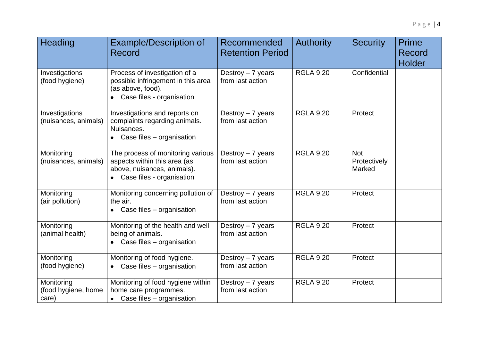| Heading                                    | <b>Example/Description of</b><br><b>Record</b>                                                                                  | Recommended<br><b>Retention Period</b> | <b>Authority</b> | <b>Security</b>               | <b>Prime</b><br>Record<br><b>Holder</b> |
|--------------------------------------------|---------------------------------------------------------------------------------------------------------------------------------|----------------------------------------|------------------|-------------------------------|-----------------------------------------|
| Investigations<br>(food hygiene)           | Process of investigation of a<br>possible infringement in this area<br>(as above, food).<br>• Case files - organisation         | Destroy - 7 years<br>from last action  | <b>RGLA 9.20</b> | Confidential                  |                                         |
| Investigations<br>(nuisances, animals)     | Investigations and reports on<br>complaints regarding animals.<br>Nuisances.<br>• Case files - organisation                     | Destroy - 7 years<br>from last action  | <b>RGLA 9.20</b> | Protect                       |                                         |
| Monitoring<br>(nuisances, animals)         | The process of monitoring various<br>aspects within this area (as<br>above, nuisances, animals).<br>• Case files - organisation | Destroy $-7$ years<br>from last action | <b>RGLA 9.20</b> | Not<br>Protectively<br>Marked |                                         |
| Monitoring<br>(air pollution)              | Monitoring concerning pollution of<br>the air.<br>$\bullet$ Case files – organisation                                           | Destroy $-7$ years<br>from last action | <b>RGLA 9.20</b> | Protect                       |                                         |
| Monitoring<br>(animal health)              | Monitoring of the health and well<br>being of animals.<br>Case files - organisation                                             | Destroy $-7$ years<br>from last action | <b>RGLA 9.20</b> | Protect                       |                                         |
| Monitoring<br>(food hygiene)               | Monitoring of food hygiene.<br>• Case files - organisation                                                                      | Destroy $-7$ years<br>from last action | <b>RGLA 9.20</b> | Protect                       |                                         |
| Monitoring<br>(food hygiene, home<br>care) | Monitoring of food hygiene within<br>home care programmes.<br>• Case files - organisation                                       | Destroy $-7$ years<br>from last action | <b>RGLA 9.20</b> | Protect                       |                                         |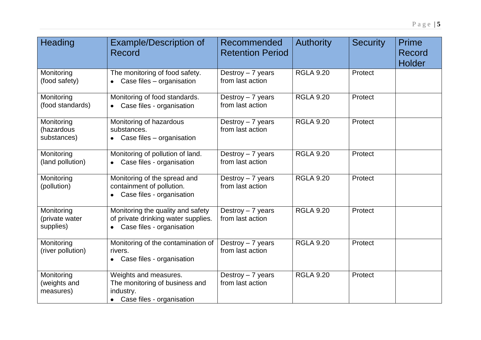| Heading                                   | <b>Example/Description of</b><br>Record                                                                 | Recommended<br><b>Retention Period</b>                    | <b>Authority</b> | <b>Security</b> | <b>Prime</b><br>Record<br><b>Holder</b> |
|-------------------------------------------|---------------------------------------------------------------------------------------------------------|-----------------------------------------------------------|------------------|-----------------|-----------------------------------------|
| Monitoring<br>(food safety)               | The monitoring of food safety.<br>Case files - organisation                                             | Destroy $-7$ years<br>from last action                    | <b>RGLA 9.20</b> | Protect         |                                         |
| Monitoring<br>(food standards)            | Monitoring of food standards.<br>Case files - organisation                                              | Destroy $-7$ years<br>from last action                    | <b>RGLA 9.20</b> | Protect         |                                         |
| Monitoring<br>(hazardous<br>substances)   | Monitoring of hazardous<br>substances.<br>• Case files - organisation                                   | Destroy $-7$ years<br>from last action                    | <b>RGLA 9.20</b> | Protect         |                                         |
| Monitoring<br>(land pollution)            | Monitoring of pollution of land.<br>Case files - organisation<br>$\bullet$                              | Destroy $-7$ years<br>from last action                    | <b>RGLA 9.20</b> | Protect         |                                         |
| Monitoring<br>(pollution)                 | Monitoring of the spread and<br>containment of pollution.<br>Case files - organisation                  | Destroy $-7$ years<br>from last action                    | <b>RGLA 9.20</b> | Protect         |                                         |
| Monitoring<br>(private water<br>supplies) | Monitoring the quality and safety<br>of private drinking water supplies.<br>• Case files - organisation | $\overline{\text{Destroy}} - 7$ years<br>from last action | <b>RGLA 9.20</b> | Protect         |                                         |
| Monitoring<br>(river pollution)           | Monitoring of the contamination of<br>rivers.<br>Case files - organisation<br>$\bullet$                 | Destroy $-7$ years<br>from last action                    | <b>RGLA 9.20</b> | Protect         |                                         |
| Monitoring<br>(weights and<br>measures)   | Weights and measures.<br>The monitoring of business and<br>industry.<br>• Case files - organisation     | Destroy - 7 years<br>from last action                     | <b>RGLA 9.20</b> | Protect         |                                         |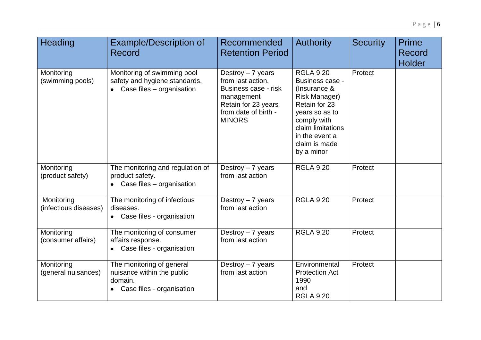| Heading                             | <b>Example/Description of</b><br>Record                                                                      | Recommended<br><b>Retention Period</b>                                                                                                        | <b>Authority</b>                                                                                                                                                                                    | <b>Security</b> | <b>Prime</b><br><b>Record</b><br><b>Holder</b> |
|-------------------------------------|--------------------------------------------------------------------------------------------------------------|-----------------------------------------------------------------------------------------------------------------------------------------------|-----------------------------------------------------------------------------------------------------------------------------------------------------------------------------------------------------|-----------------|------------------------------------------------|
| Monitoring<br>(swimming pools)      | Monitoring of swimming pool<br>safety and hygiene standards.<br>Case files - organisation<br>$\bullet$       | Destroy $-7$ years<br>from last action.<br>Business case - risk<br>management<br>Retain for 23 years<br>from date of birth -<br><b>MINORS</b> | <b>RGLA 9.20</b><br>Business case -<br>(Insurance &<br><b>Risk Manager)</b><br>Retain for 23<br>years so as to<br>comply with<br>claim limitations<br>in the event a<br>claim is made<br>by a minor | Protect         |                                                |
| Monitoring<br>(product safety)      | The monitoring and regulation of<br>product safety.<br>Case files - organisation                             | Destroy $-7$ years<br>from last action                                                                                                        | <b>RGLA 9.20</b>                                                                                                                                                                                    | Protect         |                                                |
| Monitoring<br>(infectious diseases) | The monitoring of infectious<br>diseases.<br>Case files - organisation                                       | Destroy $-7$ years<br>from last action                                                                                                        | <b>RGLA 9.20</b>                                                                                                                                                                                    | Protect         |                                                |
| Monitoring<br>(consumer affairs)    | The monitoring of consumer<br>affairs response.<br>Case files - organisation                                 | Destroy $-7$ years<br>from last action                                                                                                        | <b>RGLA 9.20</b>                                                                                                                                                                                    | Protect         |                                                |
| Monitoring<br>(general nuisances)   | The monitoring of general<br>nuisance within the public<br>domain.<br>Case files - organisation<br>$\bullet$ | Destroy $-7$ years<br>from last action                                                                                                        | Environmental<br><b>Protection Act</b><br>1990<br>and<br><b>RGLA 9.20</b>                                                                                                                           | Protect         |                                                |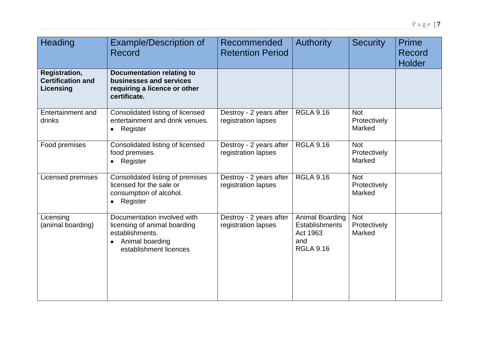| <b>Heading</b>                                                | <b>Example/Description of</b><br>Record                                                                                                  | Recommended<br><b>Retention Period</b>         | <b>Authority</b>                                                                | <b>Security</b>                      | <b>Prime</b><br>Record<br><b>Holder</b> |
|---------------------------------------------------------------|------------------------------------------------------------------------------------------------------------------------------------------|------------------------------------------------|---------------------------------------------------------------------------------|--------------------------------------|-----------------------------------------|
| <b>Registration,</b><br><b>Certification and</b><br>Licensing | <b>Documentation relating to</b><br>businesses and services<br>requiring a licence or other<br>certificate.                              |                                                |                                                                                 |                                      |                                         |
| <b>Entertainment and</b><br>drinks                            | Consolidated listing of licensed<br>entertainment and drink venues.<br>Register<br>$\bullet$                                             | Destroy - 2 years after<br>registration lapses | <b>RGLA 9.16</b>                                                                | <b>Not</b><br>Protectively<br>Marked |                                         |
| Food premises                                                 | Consolidated listing of licensed<br>food premises.<br>Register<br>$\bullet$                                                              | Destroy - 2 years after<br>registration lapses | <b>RGLA 9.16</b>                                                                | <b>Not</b><br>Protectively<br>Marked |                                         |
| Licensed premises                                             | Consolidated listing of premises<br>licensed for the sale or<br>consumption of alcohol.<br>• Register                                    | Destroy - 2 years after<br>registration lapses | <b>RGLA 9.16</b>                                                                | <b>Not</b><br>Protectively<br>Marked |                                         |
| Licensing<br>(animal boarding)                                | Documentation involved with<br>licensing of animal boarding<br>establishments.<br>Animal boarding<br>$\bullet$<br>establishment licences | Destroy - 2 years after<br>registration lapses | Animal Boarding<br><b>Establishments</b><br>Act 1963<br>and<br><b>RGLA 9.16</b> | <b>Not</b><br>Protectively<br>Marked |                                         |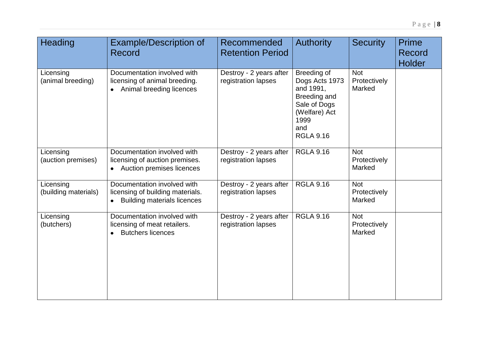| Heading                           | <b>Example/Description of</b><br>Record                                                                 | Recommended<br><b>Retention Period</b>         | <b>Authority</b>                                                                                                                      | <b>Security</b>                      | <b>Prime</b><br>Record<br><b>Holder</b> |
|-----------------------------------|---------------------------------------------------------------------------------------------------------|------------------------------------------------|---------------------------------------------------------------------------------------------------------------------------------------|--------------------------------------|-----------------------------------------|
| Licensing<br>(animal breeding)    | Documentation involved with<br>licensing of animal breeding.<br>Animal breeding licences<br>$\bullet$   | Destroy - 2 years after<br>registration lapses | Breeding of<br>Dogs Acts 1973<br>and 1991,<br><b>Breeding and</b><br>Sale of Dogs<br>(Welfare) Act<br>1999<br>and<br><b>RGLA 9.16</b> | <b>Not</b><br>Protectively<br>Marked |                                         |
| Licensing<br>(auction premises)   | Documentation involved with<br>licensing of auction premises.<br>Auction premises licences<br>$\bullet$ | Destroy - 2 years after<br>registration lapses | <b>RGLA 9.16</b>                                                                                                                      | Not<br>Protectively<br>Marked        |                                         |
| Licensing<br>(building materials) | Documentation involved with<br>licensing of building materials.<br><b>Building materials licences</b>   | Destroy - 2 years after<br>registration lapses | <b>RGLA 9.16</b>                                                                                                                      | <b>Not</b><br>Protectively<br>Marked |                                         |
| Licensing<br>(butchers)           | Documentation involved with<br>licensing of meat retailers.<br><b>Butchers licences</b>                 | Destroy - 2 years after<br>registration lapses | <b>RGLA 9.16</b>                                                                                                                      | <b>Not</b><br>Protectively<br>Marked |                                         |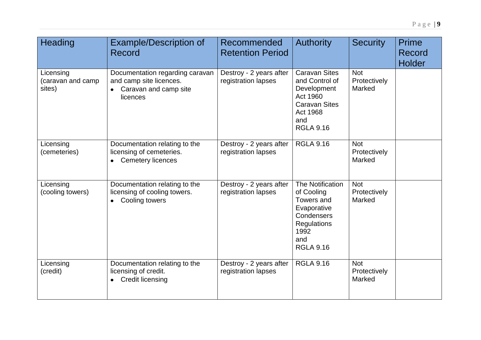| <b>Heading</b>                           | <b>Example/Description of</b><br>Record                                                            | Recommended<br><b>Retention Period</b>         | <b>Authority</b>                                                                                                                 | <b>Security</b>                      | <b>Prime</b><br>Record<br><b>Holder</b> |
|------------------------------------------|----------------------------------------------------------------------------------------------------|------------------------------------------------|----------------------------------------------------------------------------------------------------------------------------------|--------------------------------------|-----------------------------------------|
| Licensing<br>(caravan and camp<br>sites) | Documentation regarding caravan<br>and camp site licences.<br>Caravan and camp site<br>licences    | Destroy - 2 years after<br>registration lapses | <b>Caravan Sites</b><br>and Control of<br>Development<br>Act 1960<br><b>Caravan Sites</b><br>Act 1968<br>and<br><b>RGLA 9.16</b> | <b>Not</b><br>Protectively<br>Marked |                                         |
| Licensing<br>(cemeteries)                | Documentation relating to the<br>licensing of cemeteries.<br><b>Cemetery licences</b><br>$\bullet$ | Destroy - 2 years after<br>registration lapses | <b>RGLA 9.16</b>                                                                                                                 | <b>Not</b><br>Protectively<br>Marked |                                         |
| Licensing<br>(cooling towers)            | Documentation relating to the<br>licensing of cooling towers.<br>Cooling towers                    | Destroy - 2 years after<br>registration lapses | The Notification<br>of Cooling<br>Towers and<br>Evaporative<br>Condensers<br>Regulations<br>1992<br>and<br><b>RGLA 9.16</b>      | Not<br>Protectively<br>Marked        |                                         |
| Licensing<br>(credit)                    | Documentation relating to the<br>licensing of credit.<br><b>Credit licensing</b>                   | Destroy - 2 years after<br>registration lapses | <b>RGLA 9.16</b>                                                                                                                 | <b>Not</b><br>Protectively<br>Marked |                                         |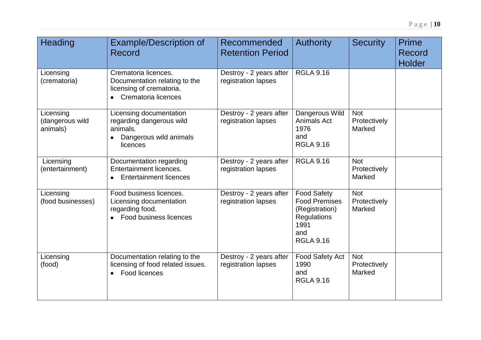| <b>Heading</b>                           | <b>Example/Description of</b><br>Record                                                                               | Recommended<br><b>Retention Period</b>         | <b>Authority</b>                                                                                               | <b>Security</b>                      | Prime<br>Record<br><b>Holder</b> |
|------------------------------------------|-----------------------------------------------------------------------------------------------------------------------|------------------------------------------------|----------------------------------------------------------------------------------------------------------------|--------------------------------------|----------------------------------|
| Licensing<br>(crematoria)                | Crematoria licences.<br>Documentation relating to the<br>licensing of crematoria.<br>Crematoria licences<br>$\bullet$ | Destroy - 2 years after<br>registration lapses | <b>RGLA 9.16</b>                                                                                               |                                      |                                  |
| Licensing<br>(dangerous wild<br>animals) | Licensing documentation<br>regarding dangerous wild<br>animals.<br>Dangerous wild animals<br>licences                 | Destroy - 2 years after<br>registration lapses | Dangerous Wild<br>Animals Act<br>1976<br>and<br><b>RGLA 9.16</b>                                               | <b>Not</b><br>Protectively<br>Marked |                                  |
| Licensing<br>(entertainment)             | Documentation regarding<br>Entertainment licences.<br><b>Entertainment licences</b>                                   | Destroy - 2 years after<br>registration lapses | <b>RGLA 9.16</b>                                                                                               | <b>Not</b><br>Protectively<br>Marked |                                  |
| Licensing<br>(food businesses)           | Food business licences.<br>Licensing documentation<br>regarding food.<br><b>Food business licences</b>                | Destroy - 2 years after<br>registration lapses | <b>Food Safety</b><br><b>Food Premises</b><br>(Registration)<br>Regulations<br>1991<br>and<br><b>RGLA 9.16</b> | <b>Not</b><br>Protectively<br>Marked |                                  |
| Licensing<br>(food)                      | Documentation relating to the<br>licensing of food related issues.<br>Food licences                                   | Destroy - 2 years after<br>registration lapses | Food Safety Act<br>1990<br>and<br><b>RGLA 9.16</b>                                                             | <b>Not</b><br>Protectively<br>Marked |                                  |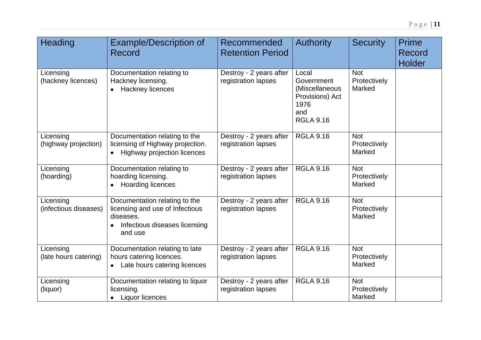| <b>Heading</b>                     | <b>Example/Description of</b><br><b>Record</b>                                                                            | Recommended<br><b>Retention Period</b>         | <b>Authority</b>                                                                            | <b>Security</b>                      | <b>Prime</b><br><b>Record</b><br><b>Holder</b> |
|------------------------------------|---------------------------------------------------------------------------------------------------------------------------|------------------------------------------------|---------------------------------------------------------------------------------------------|--------------------------------------|------------------------------------------------|
| Licensing<br>(hackney licences)    | Documentation relating to<br>Hackney licensing.<br><b>Hackney licences</b>                                                | Destroy - 2 years after<br>registration lapses | Local<br>Government<br>(Miscellaneous<br>Provisions) Act<br>1976<br>and<br><b>RGLA 9.16</b> | <b>Not</b><br>Protectively<br>Marked |                                                |
| Licensing<br>(highway projection)  | Documentation relating to the<br>licensing of Highway projection.<br><b>Highway projection licences</b>                   | Destroy - 2 years after<br>registration lapses | <b>RGLA 9.16</b>                                                                            | <b>Not</b><br>Protectively<br>Marked |                                                |
| Licensing<br>(hoarding)            | Documentation relating to<br>hoarding licensing.<br><b>Hoarding licences</b>                                              | Destroy - 2 years after<br>registration lapses | <b>RGLA 9.16</b>                                                                            | <b>Not</b><br>Protectively<br>Marked |                                                |
| Licensing<br>(infectious diseases) | Documentation relating to the<br>licensing and use of Infectious<br>diseases.<br>Infectious diseases licensing<br>and use | Destroy - 2 years after<br>registration lapses | <b>RGLA 9.16</b>                                                                            | <b>Not</b><br>Protectively<br>Marked |                                                |
| Licensing<br>(late hours catering) | Documentation relating to late<br>hours catering licences.<br>Late hours catering licences<br>$\bullet$                   | Destroy - 2 years after<br>registration lapses | <b>RGLA 9.16</b>                                                                            | <b>Not</b><br>Protectively<br>Marked |                                                |
| Licensing<br>(liquor)              | Documentation relating to liquor<br>licensing.<br>• Liquor licences                                                       | Destroy - 2 years after<br>registration lapses | <b>RGLA 9.16</b>                                                                            | <b>Not</b><br>Protectively<br>Marked |                                                |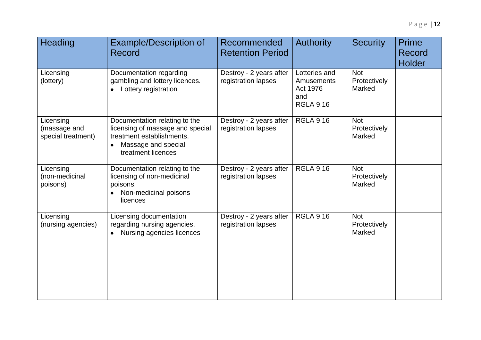| Heading                                         | <b>Example/Description of</b><br>Record                                                                                                     | Recommended<br><b>Retention Period</b>         | <b>Authority</b>                                                   | <b>Security</b>                      | <b>Prime</b><br>Record<br><b>Holder</b> |
|-------------------------------------------------|---------------------------------------------------------------------------------------------------------------------------------------------|------------------------------------------------|--------------------------------------------------------------------|--------------------------------------|-----------------------------------------|
| Licensing<br>(lottery)                          | Documentation regarding<br>gambling and lottery licences.<br>• Lottery registration                                                         | Destroy - 2 years after<br>registration lapses | Lotteries and<br>Amusements<br>Act 1976<br>and<br><b>RGLA 9.16</b> | <b>Not</b><br>Protectively<br>Marked |                                         |
| Licensing<br>(massage and<br>special treatment) | Documentation relating to the<br>licensing of massage and special<br>treatment establishments.<br>Massage and special<br>treatment licences | Destroy - 2 years after<br>registration lapses | <b>RGLA 9.16</b>                                                   | <b>Not</b><br>Protectively<br>Marked |                                         |
| Licensing<br>(non-medicinal<br>poisons)         | Documentation relating to the<br>licensing of non-medicinal<br>poisons.<br>Non-medicinal poisons<br>licences                                | Destroy - 2 years after<br>registration lapses | <b>RGLA 9.16</b>                                                   | <b>Not</b><br>Protectively<br>Marked |                                         |
| Licensing<br>(nursing agencies)                 | Licensing documentation<br>regarding nursing agencies.<br>Nursing agencies licences<br>$\bullet$                                            | Destroy - 2 years after<br>registration lapses | <b>RGLA 9.16</b>                                                   | <b>Not</b><br>Protectively<br>Marked |                                         |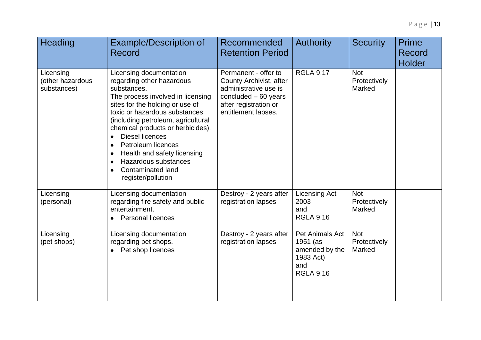| Heading                                      | <b>Example/Description of</b><br>Record                                                                                                                                                                                                                                                                                                                                                                                                                              | Recommended<br><b>Retention Period</b>                                                                                                            | <b>Authority</b>                                                                      | <b>Security</b>                      | <b>Prime</b><br><b>Record</b><br><b>Holder</b> |
|----------------------------------------------|----------------------------------------------------------------------------------------------------------------------------------------------------------------------------------------------------------------------------------------------------------------------------------------------------------------------------------------------------------------------------------------------------------------------------------------------------------------------|---------------------------------------------------------------------------------------------------------------------------------------------------|---------------------------------------------------------------------------------------|--------------------------------------|------------------------------------------------|
| Licensing<br>(other hazardous<br>substances) | Licensing documentation<br>regarding other hazardous<br>substances.<br>The process involved in licensing<br>sites for the holding or use of<br>toxic or hazardous substances<br>(including petroleum, agricultural<br>chemical products or herbicides).<br>Diesel licences<br>$\bullet$<br><b>Petroleum licences</b><br>Health and safety licensing<br>$\bullet$<br>Hazardous substances<br>$\bullet$<br><b>Contaminated land</b><br>$\bullet$<br>register/pollution | Permanent - offer to<br>County Archivist, after<br>administrative use is<br>concluded $-60$ years<br>after registration or<br>entitlement lapses. | <b>RGLA 9.17</b>                                                                      | <b>Not</b><br>Protectively<br>Marked |                                                |
| Licensing<br>(personal)                      | Licensing documentation<br>regarding fire safety and public<br>entertainment.<br><b>Personal licences</b><br>$\bullet$                                                                                                                                                                                                                                                                                                                                               | Destroy - 2 years after<br>registration lapses                                                                                                    | <b>Licensing Act</b><br>2003<br>and<br><b>RGLA 9.16</b>                               | <b>Not</b><br>Protectively<br>Marked |                                                |
| Licensing<br>(pet shops)                     | Licensing documentation<br>regarding pet shops.<br>Pet shop licences<br>$\bullet$                                                                                                                                                                                                                                                                                                                                                                                    | Destroy - 2 years after<br>registration lapses                                                                                                    | Pet Animals Act<br>1951 (as<br>amended by the<br>1983 Act)<br>and<br><b>RGLA 9.16</b> | <b>Not</b><br>Protectively<br>Marked |                                                |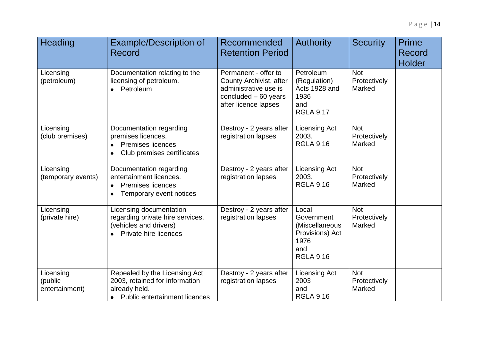| Heading                                | <b>Example/Description of</b><br>Record                                                                                             | Recommended<br><b>Retention Period</b>                                                                                    | <b>Authority</b>                                                                            | <b>Security</b>                      | <b>Prime</b><br><b>Record</b><br><b>Holder</b> |
|----------------------------------------|-------------------------------------------------------------------------------------------------------------------------------------|---------------------------------------------------------------------------------------------------------------------------|---------------------------------------------------------------------------------------------|--------------------------------------|------------------------------------------------|
| Licensing<br>(petroleum)               | Documentation relating to the<br>licensing of petroleum.<br>• Petroleum                                                             | Permanent - offer to<br>County Archivist, after<br>administrative use is<br>concluded $-60$ years<br>after licence lapses | Petroleum<br>(Regulation)<br>Acts 1928 and<br>1936<br>and<br><b>RGLA 9.17</b>               | <b>Not</b><br>Protectively<br>Marked |                                                |
| Licensing<br>(club premises)           | Documentation regarding<br>premises licences.<br><b>Premises licences</b><br>Club premises certificates                             | Destroy - 2 years after<br>registration lapses                                                                            | <b>Licensing Act</b><br>2003.<br><b>RGLA 9.16</b>                                           | <b>Not</b><br>Protectively<br>Marked |                                                |
| Licensing<br>(temporary events)        | Documentation regarding<br>entertainment licences.<br><b>Premises licences</b><br>$\bullet$<br>Temporary event notices<br>$\bullet$ | Destroy - 2 years after<br>registration lapses                                                                            | <b>Licensing Act</b><br>2003.<br><b>RGLA 9.16</b>                                           | <b>Not</b><br>Protectively<br>Marked |                                                |
| Licensing<br>(private hire)            | Licensing documentation<br>regarding private hire services.<br>(vehicles and drivers)<br>Private hire licences                      | Destroy - 2 years after<br>registration lapses                                                                            | Local<br>Government<br>(Miscellaneous<br>Provisions) Act<br>1976<br>and<br><b>RGLA 9.16</b> | <b>Not</b><br>Protectively<br>Marked |                                                |
| Licensing<br>(public<br>entertainment) | Repealed by the Licensing Act<br>2003, retained for information<br>already held.<br>• Public entertainment licences                 | Destroy - 2 years after<br>registration lapses                                                                            | <b>Licensing Act</b><br>2003<br>and<br><b>RGLA 9.16</b>                                     | <b>Not</b><br>Protectively<br>Marked |                                                |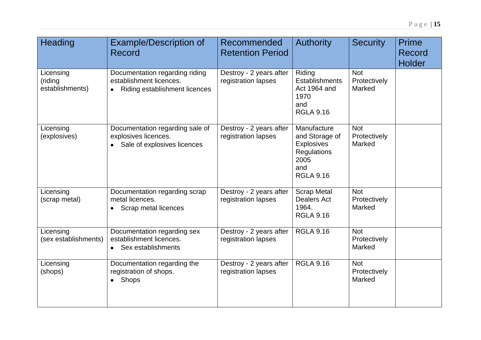| Heading                                 | <b>Example/Description of</b><br>Record                                                             | Recommended<br><b>Retention Period</b>         | <b>Authority</b>                                                                                            | <b>Security</b>                             | <b>Prime</b><br>Record<br><b>Holder</b> |
|-----------------------------------------|-----------------------------------------------------------------------------------------------------|------------------------------------------------|-------------------------------------------------------------------------------------------------------------|---------------------------------------------|-----------------------------------------|
| Licensing<br>(riding<br>establishments) | Documentation regarding riding<br>establishment licences.<br>Riding establishment licences          | Destroy - 2 years after<br>registration lapses | Riding<br>Establishments<br>Act 1964 and<br>1970<br>and<br><b>RGLA 9.16</b>                                 | <b>Not</b><br>Protectively<br>Marked        |                                         |
| Licensing<br>(explosives)               | Documentation regarding sale of<br>explosives licences.<br>Sale of explosives licences<br>$\bullet$ | Destroy - 2 years after<br>registration lapses | Manufacture<br>and Storage of<br><b>Explosives</b><br><b>Regulations</b><br>2005<br>and<br><b>RGLA 9.16</b> | <b>Not</b><br>Protectively<br>Marked        |                                         |
| Licensing<br>(scrap metal)              | Documentation regarding scrap<br>metal licences.<br>Scrap metal licences                            | Destroy - 2 years after<br>registration lapses | <b>Scrap Metal</b><br><b>Dealers Act</b><br>1964.<br><b>RGLA 9.16</b>                                       | <b>Not</b><br>Protectively<br>Marked        |                                         |
| Licensing<br>(sex establishments)       | Documentation regarding sex<br>establishment licences.<br>• Sex establishments                      | Destroy - 2 years after<br>registration lapses | <b>RGLA 9.16</b>                                                                                            | <b>Not</b><br>Protectively<br><b>Marked</b> |                                         |
| Licensing<br>(shops)                    | Documentation regarding the<br>registration of shops.<br>Shops<br>$\bullet$                         | Destroy - 2 years after<br>registration lapses | <b>RGLA 9.16</b>                                                                                            | <b>Not</b><br>Protectively<br>Marked        |                                         |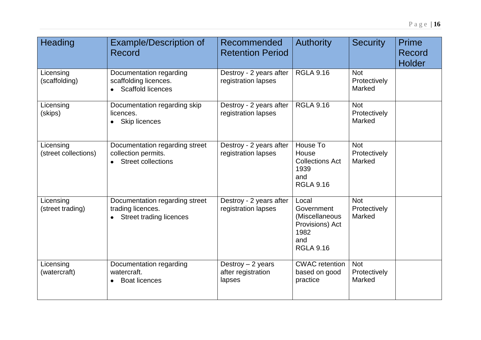| Heading                           | <b>Example/Description of</b><br>Record                                                            | Recommended<br><b>Retention Period</b>             | <b>Authority</b>                                                                            | <b>Security</b>                      | <b>Prime</b><br>Record<br><b>Holder</b> |
|-----------------------------------|----------------------------------------------------------------------------------------------------|----------------------------------------------------|---------------------------------------------------------------------------------------------|--------------------------------------|-----------------------------------------|
| Licensing<br>(scaffolding)        | Documentation regarding<br>scaffolding licences.<br>• Scaffold licences                            | Destroy - 2 years after<br>registration lapses     | <b>RGLA 9.16</b>                                                                            | <b>Not</b><br>Protectively<br>Marked |                                         |
| Licensing<br>(skips)              | Documentation regarding skip<br>licences.<br>Skip licences<br>$\bullet$                            | Destroy - 2 years after<br>registration lapses     | <b>RGLA 9.16</b>                                                                            | <b>Not</b><br>Protectively<br>Marked |                                         |
| Licensing<br>(street collections) | Documentation regarding street<br>collection permits.<br><b>Street collections</b>                 | Destroy - 2 years after<br>registration lapses     | House To<br>House<br><b>Collections Act</b><br>1939<br>and<br><b>RGLA 9.16</b>              | <b>Not</b><br>Protectively<br>Marked |                                         |
| Licensing<br>(street trading)     | Documentation regarding street<br>trading licences.<br><b>Street trading licences</b><br>$\bullet$ | Destroy - 2 years after<br>registration lapses     | Local<br>Government<br>(Miscellaneous<br>Provisions) Act<br>1982<br>and<br><b>RGLA 9.16</b> | <b>Not</b><br>Protectively<br>Marked |                                         |
| Licensing<br>(watercraft)         | Documentation regarding<br>watercraft.<br><b>Boat licences</b><br>$\bullet$                        | Destroy $-2$ years<br>after registration<br>lapses | <b>CWAC</b> retention<br>based on good<br>practice                                          | <b>Not</b><br>Protectively<br>Marked |                                         |